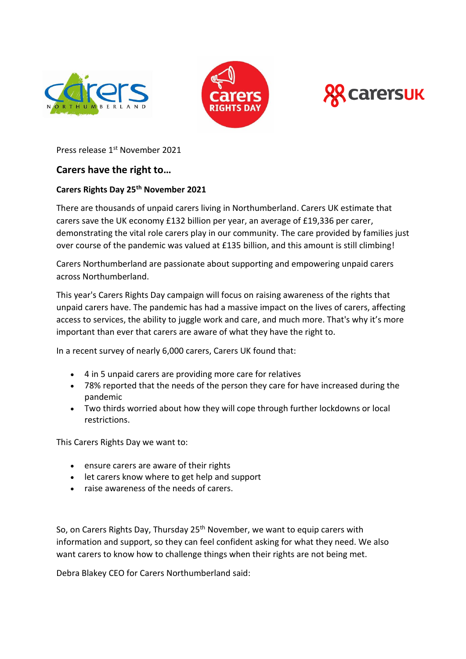





Press release 1st November 2021

# **Carers have the right to…**

# **Carers Rights Day 25th November 2021**

There are thousands of unpaid carers living in Northumberland. Carers UK estimate that carers save the UK economy £132 billion per year, an average of £19,336 per carer, demonstrating the vital role carers play in our community. The care provided by families just over course of the pandemic was valued at £135 billion, and this amount is still climbing!

Carers Northumberland are passionate about supporting and empowering unpaid carers across Northumberland.

This year's Carers Rights Day campaign will focus on raising awareness of the rights that unpaid carers have. The pandemic has had a massive impact on the lives of carers, affecting access to services, the ability to juggle work and care, and much more. That's why it's more important than ever that carers are aware of what they have the right to.

In a recent survey of nearly 6,000 carers, Carers UK found that:

- 4 in 5 unpaid carers are providing more care for relatives
- 78% reported that the needs of the person they care for have increased during the pandemic
- Two thirds worried about how they will cope through further lockdowns or local restrictions.

This Carers Rights Day we want to:

- ensure carers are aware of their rights
- let carers know where to get help and support
- raise awareness of the needs of carers.

So, on Carers Rights Day, Thursday 25<sup>th</sup> November, we want to equip carers with information and support, so they can feel confident asking for what they need. We also want carers to know how to challenge things when their rights are not being met.

Debra Blakey CEO for Carers Northumberland said: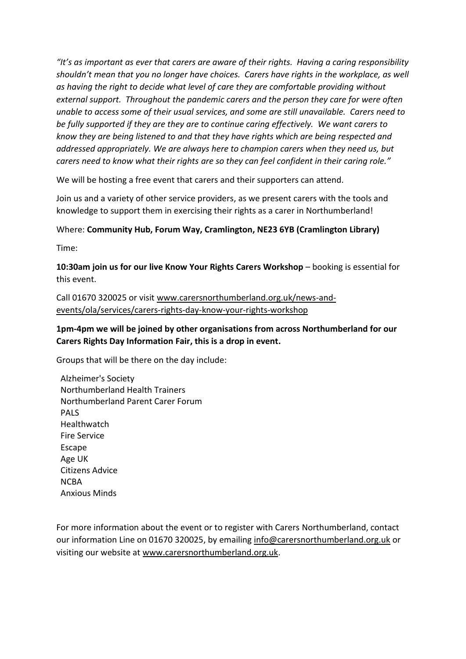*"It's as important as ever that carers are aware of their rights. Having a caring responsibility shouldn't mean that you no longer have choices. Carers have rights in the workplace, as well as having the right to decide what level of care they are comfortable providing without external support. Throughout the pandemic carers and the person they care for were often unable to access some of their usual services, and some are still unavailable. Carers need to be fully supported if they are they are to continue caring effectively. We want carers to know they are being listened to and that they have rights which are being respected and addressed appropriately. We are always here to champion carers when they need us, but carers need to know what their rights are so they can feel confident in their caring role."*

We will be hosting a free event that carers and their supporters can attend.

Join us and a variety of other service providers, as we present carers with the tools and knowledge to support them in exercising their rights as a carer in Northumberland!

# Where: **Community Hub, Forum Way, Cramlington, NE23 6YB (Cramlington Library)**

Time:

**10:30am join us for our live Know Your Rights Carers Workshop** – booking is essential for this event.

Call 01670 320025 or visit [www.carersnorthumberland.org.uk/news-and](http://www.carersnorthumberland.org.uk/news-and-events/ola/services/carers-rights-day-know-your-rights-workshop)[events/ola/services/carers-rights-day-know-your-rights-workshop](http://www.carersnorthumberland.org.uk/news-and-events/ola/services/carers-rights-day-know-your-rights-workshop)

**1pm-4pm we will be joined by other organisations from across Northumberland for our Carers Rights Day Information Fair, this is a drop in event.** 

Groups that will be there on the day include:

Alzheimer's Society Northumberland Health Trainers Northumberland Parent Carer Forum PALS Healthwatch Fire Service Escape Age UK Citizens Advice NCBA Anxious Minds

For more information about the event or to register with Carers Northumberland, contact our information Line on 01670 320025, by emailing [info@carersnorthumberland.org.uk](mailto:info@carersnorthumberland.org.uk) or visiting our website at [www.carersnorthumberland.org.uk.](http://www.carersnorthumberland.org.uk/)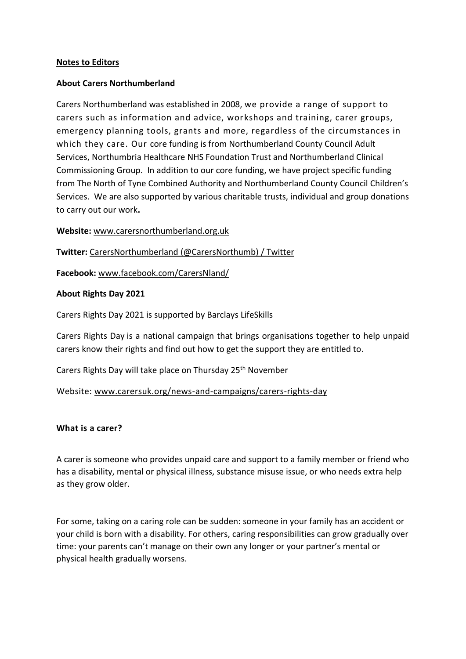### **Notes to Editors**

## **About Carers Northumberland**

Carers Northumberland was established in 2008, we provide a range of support to carers such as information and advice, workshops and training, carer groups, emergency planning tools, grants and more, regardless of the circumstances in which they care. Our core funding is from Northumberland County Council Adult Services, Northumbria Healthcare NHS Foundation Trust and Northumberland Clinical Commissioning Group. In addition to our core funding, we have project specific funding from The North of Tyne Combined Authority and Northumberland County Council Children's Services. We are also supported by various charitable trusts, individual and group donations to carry out our work**.**

#### **Website:** [www.carersnorthumberland.org.uk](http://www.carersnorthumberland.org.uk/)

**Twitter:** [CarersNorthumberland](https://twitter.com/CarersNorthumb) (@CarersNorthumb) / Twitter

**Facebook:** [www.facebook.com/CarersNland/](file:///C:/Users/lisamordue/AppData/Local/Microsoft/Windows/INetCache/Content.Outlook/824A452Z/www.facebook.com/CarersNland/)

## **About Rights Day 2021**

Carers Rights Day 2021 is supported by Barclays LifeSkills

Carers Rights Day is a national campaign that brings organisations together to help unpaid carers know their rights and find out how to get the support they are entitled to.

Carers Rights Day will take place on Thursday 25<sup>th</sup> November

Website: [www.carersuk.org/news-and-campaigns/carers-rights-day](file:///C:/Users/lisamordue/AppData/Local/Microsoft/Windows/INetCache/Content.Outlook/824A452Z/www.carersuk.org/news-and-campaigns/carers-rights-day)

#### **What is a carer?**

A carer is someone who provides unpaid care and support to a family member or friend who has a disability, mental or physical illness, substance misuse issue, or who needs extra help as they grow older.

For some, taking on a caring role can be sudden: someone in your family has an accident or your child is born with a disability. For others, caring responsibilities can grow gradually over time: your parents can't manage on their own any longer or your partner's mental or physical health gradually worsens.